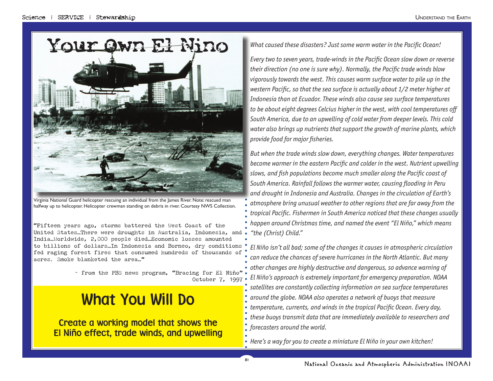# WOUT OWN ERNINO What caused these disasters? Just some warm water in the Pacific Ocean!



halfway up to helicopter. Helicopter crewman standing on debris in river. Courtesy NWS Collection.

"Fifteen years ago, storms battered the West Coast of the United States…There were droughts in Australia, Indonesia, and India…Worldwide, 2,000 people died…Economic losses amounted to billions of dollars…In Indonesia and Borneo, dry conditions fed raging forest fires that consumed hundreds of thousands of acres. Smoke blanketed the area…"

> ~ from the PBS news program, "Bracing for El Niño" October 7, 1997

# What You Will Do

Create a working model that shows the El Niño effect, trade winds, and upwelling

*Every two to seven years, trade-winds in the Pacific Ocean slow down or reverse* their direction (no one is sure why). Normally, the Pacific trade winds blow *vigorously towards the west. This causes warm surface water to pile up in the western Pacific, so that the sea surface is actually about 1/2 meter higher at Indonesia than at Ecuador. These winds also cause sea surface temperatures*  to be about eight degrees Celcius higher in the west, with cool temperatures off *South America, due to an upwelling of cold water from deeper levels. This cold water also brings up nutrients that support the growth of marine plants, which provide food for major fi sheries.* 

*But when the trade winds slow down, everything changes. Water temperatures*  become warmer in the eastern Pacific and colder in the west. Nutrient upwelling slows, and fish populations become much smaller along the Pacific coast of *South America. Rainfall follows the warmer water, causing fl ooding in Peru and drought in Indonesia and Australia. Changes in the circulation of Earth's atmosphere bring unusual weather to other regions that are far away from the tropical Pacific. Fishermen in South America noticed that these changes usually happen around Christmas time, and named the event "El Niño," which means "the (Christ) Child."*

*El Niño isn't all bad; some of the changes it causes in atmospheric circulation can reduce the chances of severe hurricanes in the North Atlantic. But many other changes are highly destructive and dangerous, so advance warning of El Niño's approach is extremely important for emergency preparation. NOAA satellites are constantly collecting information on sea surface temperatures around the globe. NOAA also operates a network of buoys that measure temperature, currents, and winds in the tropical Pacific Ocean. Every day, these buoys transmit data that are immediately available to researchers and forecasters around the world.*

*Here's a way for you to create a miniature El Niño in your own kitchen!*